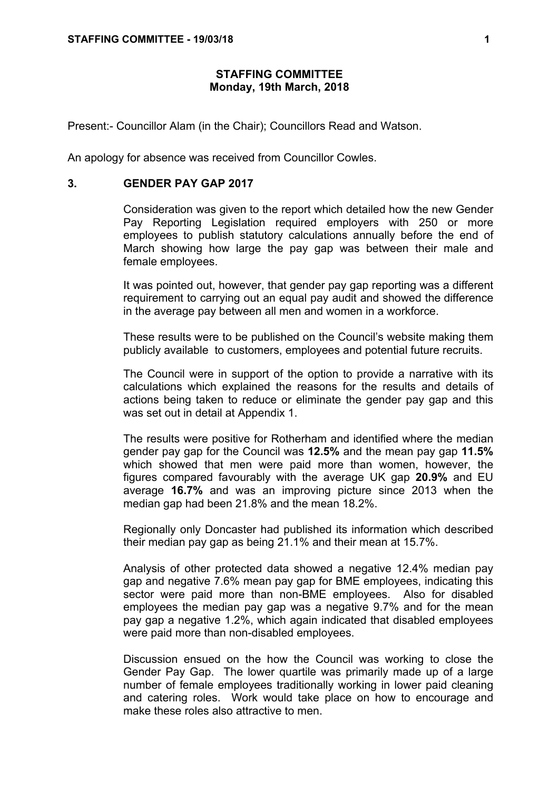## **STAFFING COMMITTEE Monday, 19th March, 2018**

Present:- Councillor Alam (in the Chair); Councillors Read and Watson.

An apology for absence was received from Councillor Cowles.

## **3. GENDER PAY GAP 2017**

Consideration was given to the report which detailed how the new Gender Pay Reporting Legislation required employers with 250 or more employees to publish statutory calculations annually before the end of March showing how large the pay gap was between their male and female employees.

It was pointed out, however, that gender pay gap reporting was a different requirement to carrying out an equal pay audit and showed the difference in the average pay between all men and women in a workforce.

These results were to be published on the Council's website making them publicly available to customers, employees and potential future recruits.

The Council were in support of the option to provide a narrative with its calculations which explained the reasons for the results and details of actions being taken to reduce or eliminate the gender pay gap and this was set out in detail at Appendix 1.

The results were positive for Rotherham and identified where the median gender pay gap for the Council was **12.5%** and the mean pay gap **11.5%** which showed that men were paid more than women, however, the figures compared favourably with the average UK gap **20.9%** and EU average **16.7%** and was an improving picture since 2013 when the median gap had been 21.8% and the mean 18.2%.

Regionally only Doncaster had published its information which described their median pay gap as being 21.1% and their mean at 15.7%.

Analysis of other protected data showed a negative 12.4% median pay gap and negative 7.6% mean pay gap for BME employees, indicating this sector were paid more than non-BME employees. Also for disabled employees the median pay gap was a negative 9.7% and for the mean pay gap a negative 1.2%, which again indicated that disabled employees were paid more than non-disabled employees.

Discussion ensued on the how the Council was working to close the Gender Pay Gap. The lower quartile was primarily made up of a large number of female employees traditionally working in lower paid cleaning and catering roles. Work would take place on how to encourage and make these roles also attractive to men.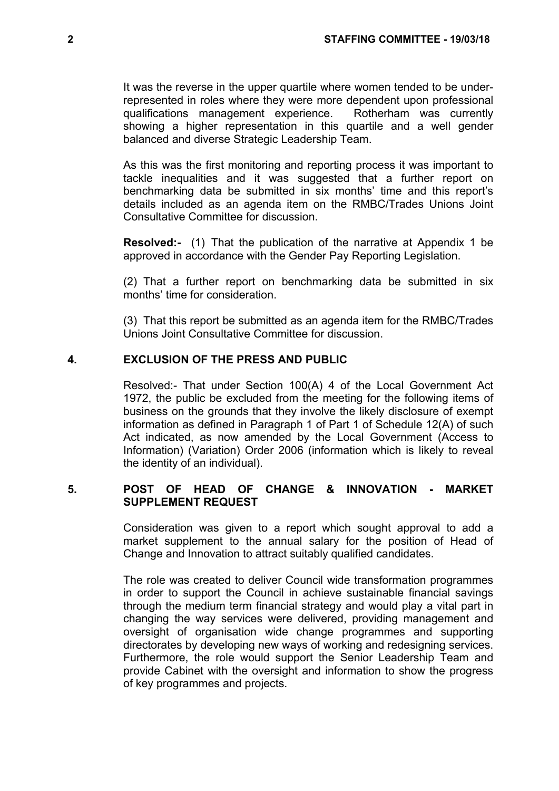It was the reverse in the upper quartile where women tended to be underrepresented in roles where they were more dependent upon professional qualifications management experience. Rotherham was currently showing a higher representation in this quartile and a well gender balanced and diverse Strategic Leadership Team.

As this was the first monitoring and reporting process it was important to tackle inequalities and it was suggested that a further report on benchmarking data be submitted in six months' time and this report's details included as an agenda item on the RMBC/Trades Unions Joint Consultative Committee for discussion.

**Resolved:-** (1) That the publication of the narrative at Appendix 1 be approved in accordance with the Gender Pay Reporting Legislation.

(2) That a further report on benchmarking data be submitted in six months' time for consideration.

(3) That this report be submitted as an agenda item for the RMBC/Trades Unions Joint Consultative Committee for discussion.

## **4. EXCLUSION OF THE PRESS AND PUBLIC**

Resolved:- That under Section 100(A) 4 of the Local Government Act 1972, the public be excluded from the meeting for the following items of business on the grounds that they involve the likely disclosure of exempt information as defined in Paragraph 1 of Part 1 of Schedule 12(A) of such Act indicated, as now amended by the Local Government (Access to Information) (Variation) Order 2006 (information which is likely to reveal the identity of an individual).

## **5. POST OF HEAD OF CHANGE & INNOVATION - MARKET SUPPLEMENT REQUEST**

Consideration was given to a report which sought approval to add a market supplement to the annual salary for the position of Head of Change and Innovation to attract suitably qualified candidates.

The role was created to deliver Council wide transformation programmes in order to support the Council in achieve sustainable financial savings through the medium term financial strategy and would play a vital part in changing the way services were delivered, providing management and oversight of organisation wide change programmes and supporting directorates by developing new ways of working and redesigning services. Furthermore, the role would support the Senior Leadership Team and provide Cabinet with the oversight and information to show the progress of key programmes and projects.